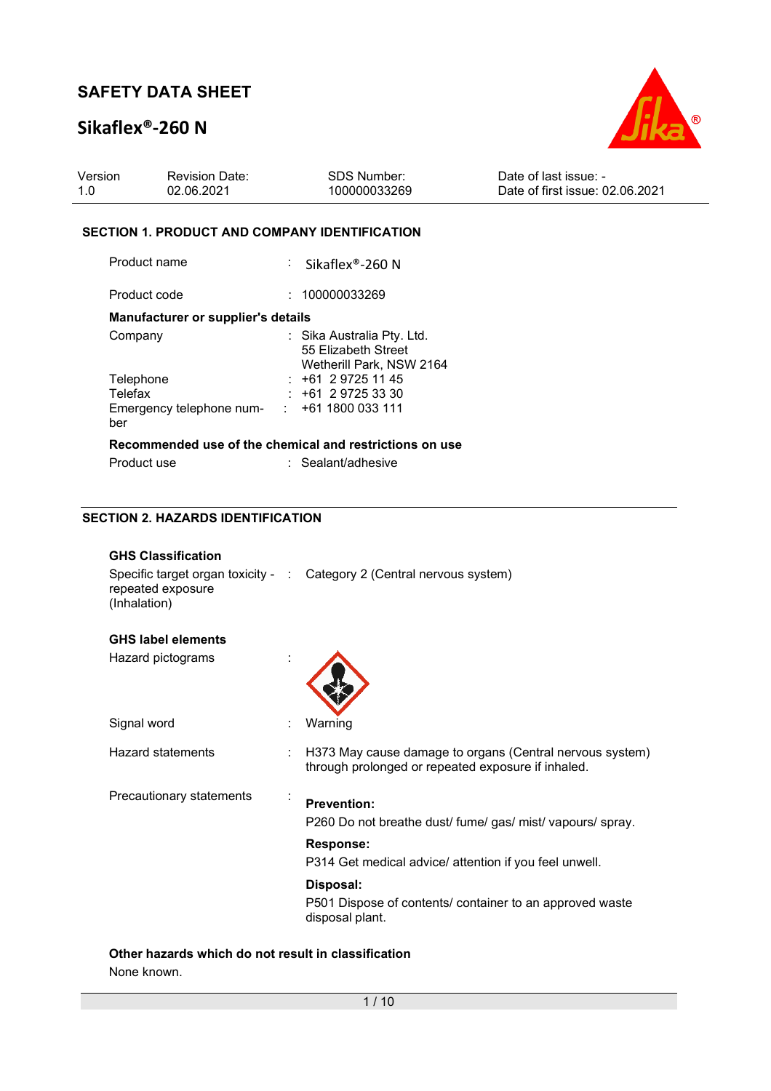## **Sikaflex®-260 N**



| Version | <b>Revision Date:</b> | SDS Number:  | Date of last issue: -           |
|---------|-----------------------|--------------|---------------------------------|
| 1.0     | 02.06.2021            | 100000033269 | Date of first issue: 02.06.2021 |

#### **SECTION 1. PRODUCT AND COMPANY IDENTIFICATION**

Product name : Sikaflex®-260 N

Product code : 100000033269

#### **Manufacturer or supplier's details**

| Company                                                 | : Sika Australia Pty. Ltd.<br>55 Elizabeth Street<br>Wetherill Park, NSW 2164 |
|---------------------------------------------------------|-------------------------------------------------------------------------------|
| Telephone<br>Telefax<br>Emergency telephone num-<br>ber | $: +61297251145$<br>$: +61297253330$<br>: 1611800033111                       |
|                                                         | Recommended use of the chemical and restrictions on use                       |

| Product use | : Sealant/adhesive |
|-------------|--------------------|
|             |                    |

#### **SECTION 2. HAZARDS IDENTIFICATION**

| <b>GHS Classification</b><br>repeated exposure<br>(Inhalation) |    | Specific target organ toxicity - : Category 2 (Central nervous system)                                                                                         |
|----------------------------------------------------------------|----|----------------------------------------------------------------------------------------------------------------------------------------------------------------|
| <b>GHS label elements</b>                                      |    |                                                                                                                                                                |
| Hazard pictograms                                              |    |                                                                                                                                                                |
| Signal word                                                    |    | Warning                                                                                                                                                        |
| Hazard statements                                              | ÷. | H373 May cause damage to organs (Central nervous system)<br>through prolonged or repeated exposure if inhaled.                                                 |
| Precautionary statements                                       |    | <b>Prevention:</b><br>P260 Do not breathe dust/ fume/ gas/ mist/ vapours/ spray.<br><b>Response:</b><br>P314 Get medical advice/ attention if you feel unwell. |
|                                                                |    | Disposal:<br>P501 Dispose of contents/ container to an approved waste<br>disposal plant.                                                                       |

#### **Other hazards which do not result in classification**

None known.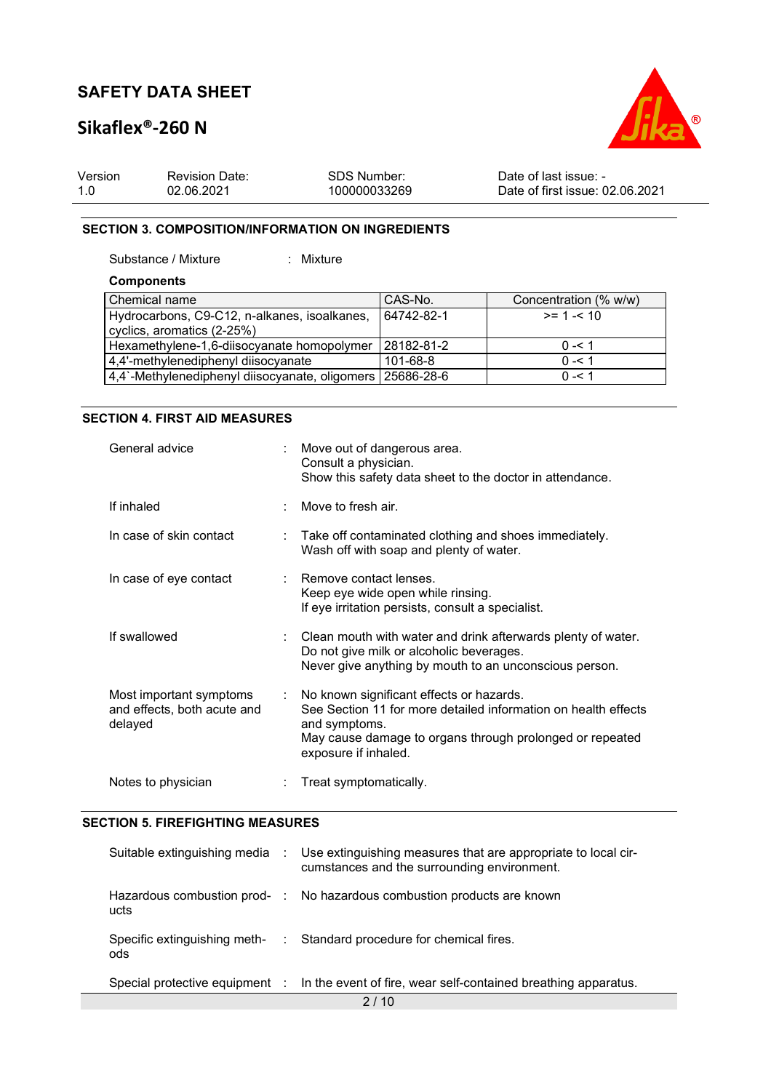### **Sikaflex®-260 N**



| Version | <b>Revision Date:</b> | SDS Number:  | Date of last issue: -           |
|---------|-----------------------|--------------|---------------------------------|
| 1.0     | 02.06.2021            | 100000033269 | Date of first issue: 02.06.2021 |

#### **SECTION 3. COMPOSITION/INFORMATION ON INGREDIENTS**

Substance / Mixture : Mixture

#### **Components**

| Chemical name                                               | CAS-No.      | Concentration (% w/w) |
|-------------------------------------------------------------|--------------|-----------------------|
| Hydrocarbons, C9-C12, n-alkanes, isoalkanes,                | 64742-82-1   | $>= 1 - 10$           |
| cyclics, aromatics (2-25%)                                  |              |                       |
| Hexamethylene-1,6-diisocyanate homopolymer                  | l 28182-81-2 | $0 - 51$              |
| 4,4'-methylenediphenyl diisocyanate                         | 101-68-8     | $0 - 51$              |
| 4,4`-Methylenediphenyl diisocyanate, oligomers   25686-28-6 |              | $0 - 51$              |

#### **SECTION 4. FIRST AID MEASURES**

| General advice                                                    |    | Move out of dangerous area.<br>Consult a physician.<br>Show this safety data sheet to the doctor in attendance.                                                                                                 |
|-------------------------------------------------------------------|----|-----------------------------------------------------------------------------------------------------------------------------------------------------------------------------------------------------------------|
| If inhaled                                                        |    | Move to fresh air.                                                                                                                                                                                              |
| In case of skin contact                                           | t. | Take off contaminated clothing and shoes immediately.<br>Wash off with soap and plenty of water.                                                                                                                |
| In case of eye contact                                            |    | Remove contact lenses.<br>Keep eye wide open while rinsing.<br>If eye irritation persists, consult a specialist.                                                                                                |
| If swallowed                                                      |    | Clean mouth with water and drink afterwards plenty of water.<br>Do not give milk or alcoholic beverages.<br>Never give anything by mouth to an unconscious person.                                              |
| Most important symptoms<br>and effects, both acute and<br>delayed | ÷  | No known significant effects or hazards.<br>See Section 11 for more detailed information on health effects<br>and symptoms.<br>May cause damage to organs through prolonged or repeated<br>exposure if inhaled. |
| Notes to physician                                                |    | Treat symptomatically.                                                                                                                                                                                          |

#### **SECTION 5. FIREFIGHTING MEASURES**

| Suitable extinguishing media         | $\mathcal{L}_{\mathcal{A}}$ | Use extinguishing measures that are appropriate to local cir-<br>cumstances and the surrounding environment. |
|--------------------------------------|-----------------------------|--------------------------------------------------------------------------------------------------------------|
| Hazardous combustion prod- :<br>ucts |                             | No hazardous combustion products are known                                                                   |
| Specific extinguishing meth-<br>ods  | $\mathcal{L}$               | Standard procedure for chemical fires.                                                                       |
| Special protective equipment :       |                             | In the event of fire, wear self-contained breathing apparatus.                                               |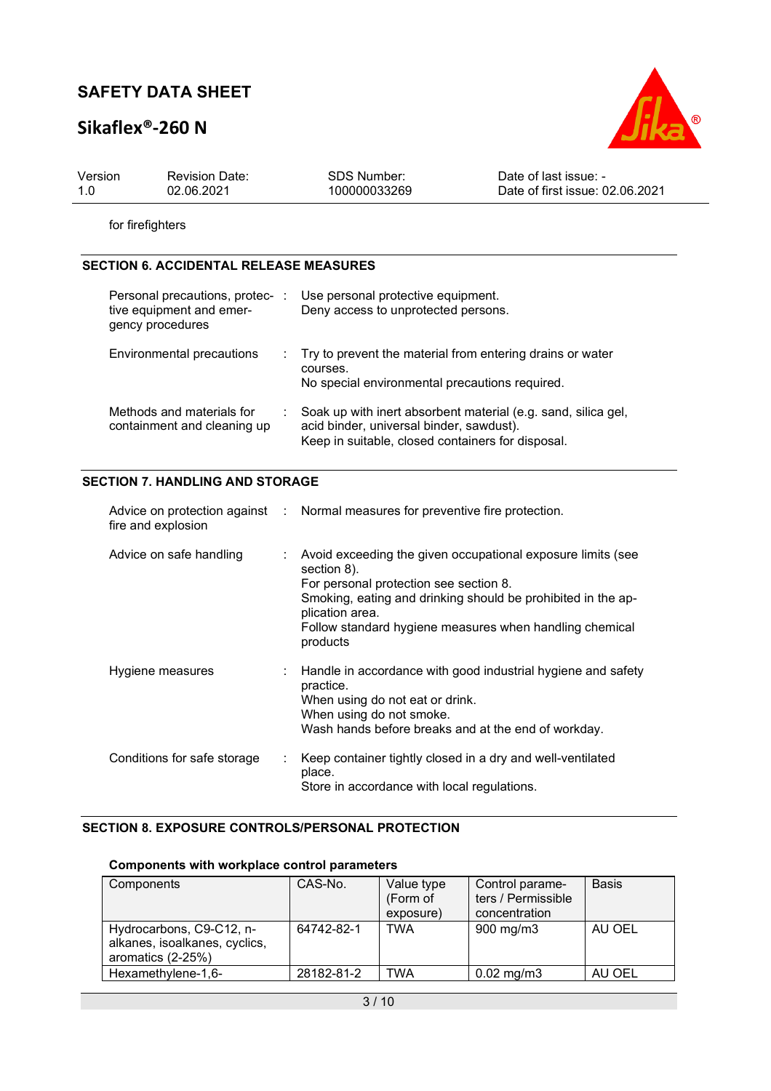## **Sikaflex®-260 N**



| Version | <b>Revision Date:</b> | <b>SDS Number:</b> | Date of last issue: -           |
|---------|-----------------------|--------------------|---------------------------------|
| 1.0     | 02.06.2021            | 100000033269       | Date of first issue: 02.06.2021 |

for firefighters

#### **SECTION 6. ACCIDENTAL RELEASE MEASURES**

| Personal precautions, protec- :<br>tive equipment and emer-<br>gency procedures | Use personal protective equipment.<br>Deny access to unprotected persons.                                                                                      |
|---------------------------------------------------------------------------------|----------------------------------------------------------------------------------------------------------------------------------------------------------------|
| Environmental precautions                                                       | : Try to prevent the material from entering drains or water<br>courses.<br>No special environmental precautions required.                                      |
| Methods and materials for<br>containment and cleaning up                        | Soak up with inert absorbent material (e.g. sand, silica gel,<br>acid binder, universal binder, sawdust).<br>Keep in suitable, closed containers for disposal. |

#### **SECTION 7. HANDLING AND STORAGE**

| fire and explosion          |    | Advice on protection against : Normal measures for preventive fire protection.                                                                                                                                                                                                   |
|-----------------------------|----|----------------------------------------------------------------------------------------------------------------------------------------------------------------------------------------------------------------------------------------------------------------------------------|
| Advice on safe handling     |    | : Avoid exceeding the given occupational exposure limits (see<br>section 8).<br>For personal protection see section 8.<br>Smoking, eating and drinking should be prohibited in the ap-<br>plication area.<br>Follow standard hygiene measures when handling chemical<br>products |
| Hygiene measures            |    | : Handle in accordance with good industrial hygiene and safety<br>practice.<br>When using do not eat or drink.<br>When using do not smoke.<br>Wash hands before breaks and at the end of workday.                                                                                |
| Conditions for safe storage | ÷. | Keep container tightly closed in a dry and well-ventilated<br>place.<br>Store in accordance with local regulations.                                                                                                                                                              |

#### **SECTION 8. EXPOSURE CONTROLS/PERSONAL PROTECTION**

#### **Components with workplace control parameters**

| Components                                                                     | CAS-No.    | Value type<br>(Form of | Control parame-<br>ters / Permissible | <b>Basis</b> |
|--------------------------------------------------------------------------------|------------|------------------------|---------------------------------------|--------------|
|                                                                                |            | exposure)              | concentration                         |              |
| Hydrocarbons, C9-C12, n-<br>alkanes, isoalkanes, cyclics,<br>aromatics (2-25%) | 64742-82-1 | TWA                    | $900 \text{ mg/m}$                    | AU OEL       |
| Hexamethylene-1,6-                                                             | 28182-81-2 | TWA                    | $0.02 \text{ mg/m}$ 3                 | AU OEL       |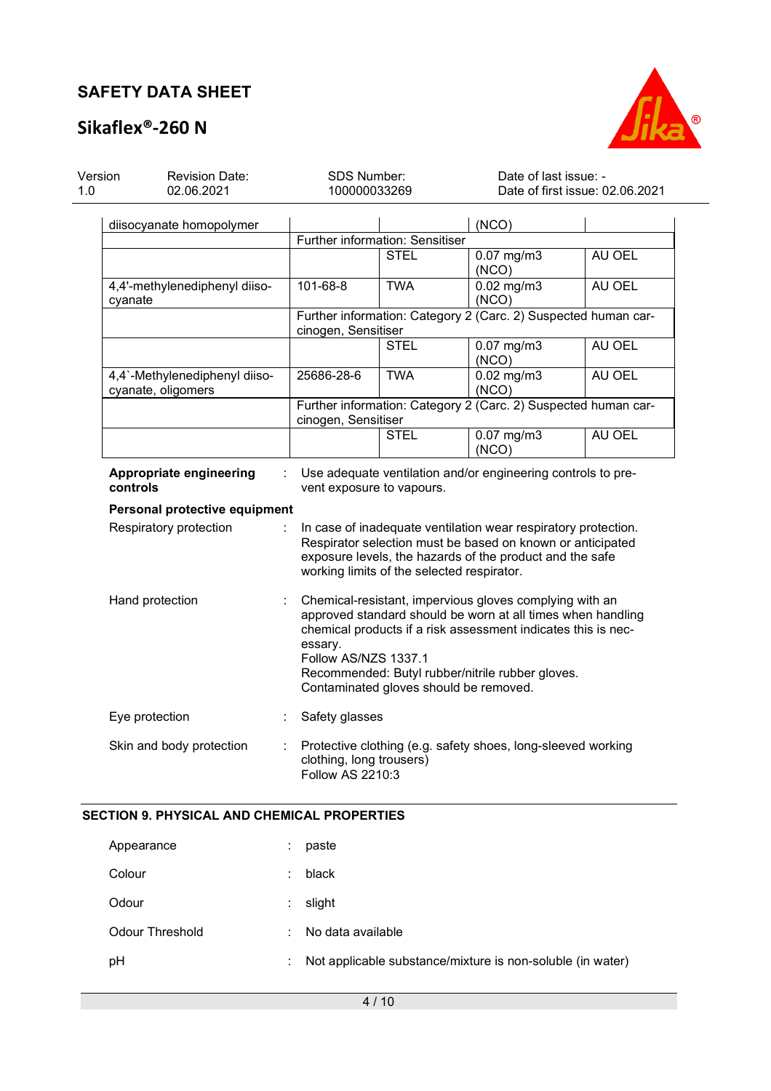# **Sikaflex®-260 N**



| Version<br>1.0 | <b>Revision Date:</b><br>02.06.2021                                                                                              |                               | <b>SDS Number:</b><br>100000033269           |                                            | Date of last issue: -<br>Date of first issue: 02.06.2021                                                                                                                                                                                    |        |  |  |
|----------------|----------------------------------------------------------------------------------------------------------------------------------|-------------------------------|----------------------------------------------|--------------------------------------------|---------------------------------------------------------------------------------------------------------------------------------------------------------------------------------------------------------------------------------------------|--------|--|--|
|                | diisocyanate homopolymer                                                                                                         |                               |                                              | Further information: Sensitiser            | (NCO)                                                                                                                                                                                                                                       |        |  |  |
|                |                                                                                                                                  |                               |                                              | <b>STEL</b>                                | $0.07$ mg/m $3$<br>(NCO)                                                                                                                                                                                                                    | AU OEL |  |  |
|                | cyanate                                                                                                                          | 4,4'-methylenediphenyl diiso- | 101-68-8                                     | <b>TWA</b>                                 | $0.02$ mg/m $3$<br>(NCO)                                                                                                                                                                                                                    | AU OEL |  |  |
|                |                                                                                                                                  |                               | cinogen, Sensitiser                          |                                            | Further information: Category 2 (Carc. 2) Suspected human car-                                                                                                                                                                              |        |  |  |
|                |                                                                                                                                  |                               |                                              | STEL                                       | $0.07$ mg/m3<br>(NCO)                                                                                                                                                                                                                       | AU OEL |  |  |
|                | cyanate, oligomers                                                                                                               | 4,4`-Methylenediphenyl diiso- | 25686-28-6                                   | <b>TWA</b>                                 | $0.02$ mg/m $3$<br>(NCO)                                                                                                                                                                                                                    | AU OEL |  |  |
|                |                                                                                                                                  |                               | cinogen, Sensitiser                          |                                            | Further information: Category 2 (Carc. 2) Suspected human car-                                                                                                                                                                              |        |  |  |
|                |                                                                                                                                  |                               |                                              | STEL                                       | $0.07$ mg/m $3$<br>(NCO)                                                                                                                                                                                                                    | AU OEL |  |  |
|                | Appropriate engineering<br>Use adequate ventilation and/or engineering controls to pre-<br>controls<br>vent exposure to vapours. |                               |                                              |                                            |                                                                                                                                                                                                                                             |        |  |  |
|                | Personal protective equipment                                                                                                    |                               |                                              |                                            |                                                                                                                                                                                                                                             |        |  |  |
|                | Respiratory protection                                                                                                           |                               |                                              | working limits of the selected respirator. | In case of inadequate ventilation wear respiratory protection.<br>Respirator selection must be based on known or anticipated<br>exposure levels, the hazards of the product and the safe                                                    |        |  |  |
|                | Hand protection                                                                                                                  | ÷                             | essary.<br>Follow AS/NZS 1337.1              | Contaminated gloves should be removed.     | Chemical-resistant, impervious gloves complying with an<br>approved standard should be worn at all times when handling<br>chemical products if a risk assessment indicates this is nec-<br>Recommended: Butyl rubber/nitrile rubber gloves. |        |  |  |
|                | Eye protection                                                                                                                   |                               | Safety glasses                               |                                            |                                                                                                                                                                                                                                             |        |  |  |
|                |                                                                                                                                  | Skin and body protection      | clothing, long trousers)<br>Follow AS 2210:3 |                                            | Protective clothing (e.g. safety shoes, long-sleeved working                                                                                                                                                                                |        |  |  |

#### **SECTION 9. PHYSICAL AND CHEMICAL PROPERTIES**

| Appearance      | ٠  | paste                                                      |
|-----------------|----|------------------------------------------------------------|
| Colour          | ÷  | black                                                      |
| Odour           | ÷. | slight                                                     |
| Odour Threshold | ÷. | No data available                                          |
| рH              | ÷. | Not applicable substance/mixture is non-soluble (in water) |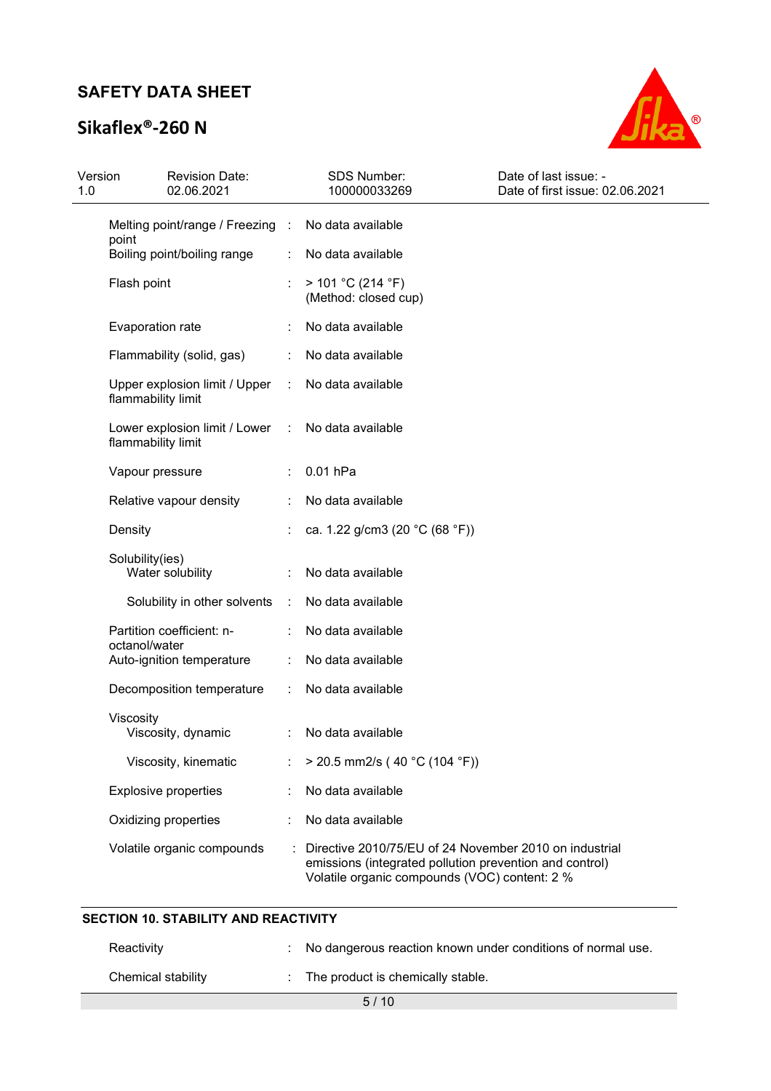# **Sikaflex®-260 N**



| Version<br>1.0 | <b>Revision Date:</b><br>02.06.2021                 |   | SDS Number:<br>100000033269                                                                                                                                        | Date of last issue: -<br>Date of first issue: 02.06.2021 |
|----------------|-----------------------------------------------------|---|--------------------------------------------------------------------------------------------------------------------------------------------------------------------|----------------------------------------------------------|
|                | Melting point/range / Freezing :<br>point           |   | No data available                                                                                                                                                  |                                                          |
|                | Boiling point/boiling range                         | ÷ | No data available                                                                                                                                                  |                                                          |
|                | Flash point                                         | ÷ | > 101 °C (214 °F)<br>(Method: closed cup)                                                                                                                          |                                                          |
|                | Evaporation rate                                    |   | No data available                                                                                                                                                  |                                                          |
|                | Flammability (solid, gas)                           |   | No data available                                                                                                                                                  |                                                          |
|                | Upper explosion limit / Upper<br>flammability limit | ÷ | No data available                                                                                                                                                  |                                                          |
|                | Lower explosion limit / Lower<br>flammability limit |   | No data available                                                                                                                                                  |                                                          |
|                | Vapour pressure                                     |   | 0.01 hPa                                                                                                                                                           |                                                          |
|                | Relative vapour density                             |   | No data available                                                                                                                                                  |                                                          |
|                | Density                                             |   | ca. 1.22 g/cm3 (20 °C (68 °F))                                                                                                                                     |                                                          |
|                | Solubility(ies)<br>Water solubility                 |   | No data available                                                                                                                                                  |                                                          |
|                | Solubility in other solvents                        | ÷ | No data available                                                                                                                                                  |                                                          |
|                | Partition coefficient: n-                           |   | No data available                                                                                                                                                  |                                                          |
|                | octanol/water<br>Auto-ignition temperature          |   | No data available                                                                                                                                                  |                                                          |
|                | Decomposition temperature                           | ÷ | No data available                                                                                                                                                  |                                                          |
|                | Viscosity<br>Viscosity, dynamic                     |   | No data available                                                                                                                                                  |                                                          |
|                | Viscosity, kinematic                                |   | $>$ 20.5 mm2/s (40 °C (104 °F))                                                                                                                                    |                                                          |
|                | <b>Explosive properties</b>                         |   | No data available                                                                                                                                                  |                                                          |
|                | Oxidizing properties                                |   | No data available                                                                                                                                                  |                                                          |
|                | Volatile organic compounds                          |   | Directive 2010/75/EU of 24 November 2010 on industrial<br>emissions (integrated pollution prevention and control)<br>Volatile organic compounds (VOC) content: 2 % |                                                          |

| Reactivity         | : No dangerous reaction known under conditions of normal use. |
|--------------------|---------------------------------------------------------------|
| Chemical stability | : The product is chemically stable.                           |
|                    | 5/10                                                          |

**SECTION 10. STABILITY AND REACTIVITY**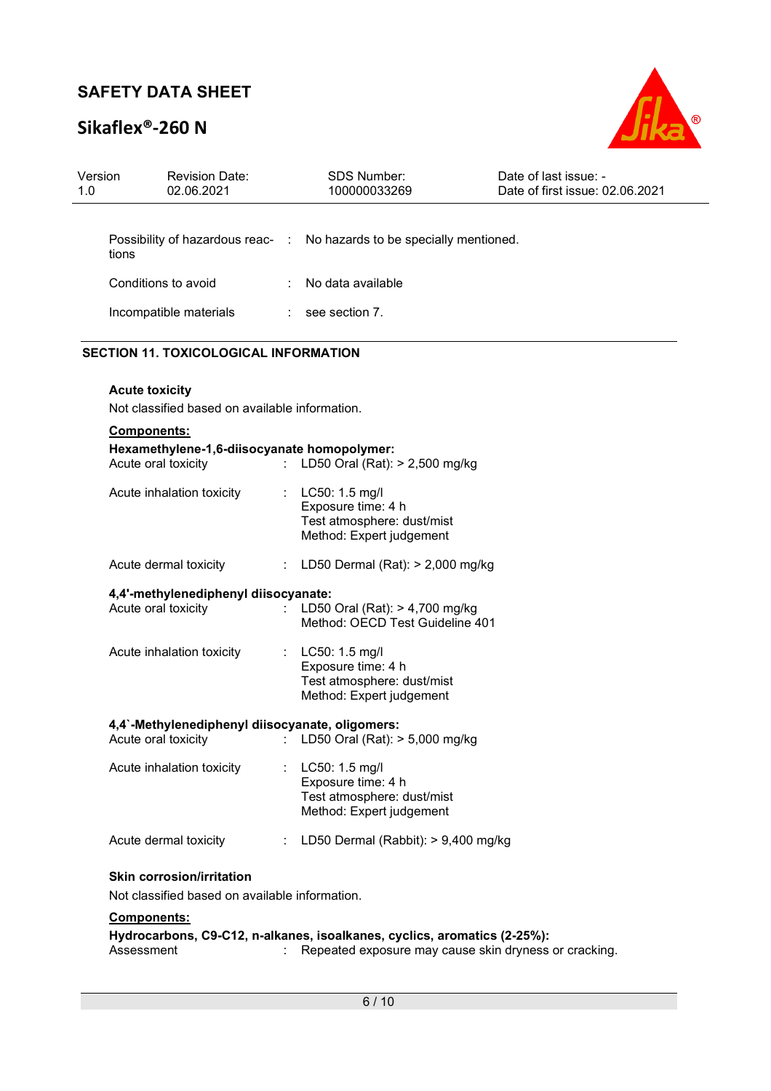# **Sikaflex®-260 N**



| Version<br>1.0 | <b>Revision Date:</b><br>02.06.2021                                                |    | <b>SDS Number:</b><br>100000033269                                                                                                | Date of last issue: -<br>Date of first issue: 02.06.2021 |
|----------------|------------------------------------------------------------------------------------|----|-----------------------------------------------------------------------------------------------------------------------------------|----------------------------------------------------------|
|                |                                                                                    |    |                                                                                                                                   |                                                          |
| tions          |                                                                                    |    | Possibility of hazardous reac- : No hazards to be specially mentioned.                                                            |                                                          |
|                | Conditions to avoid                                                                |    | No data available                                                                                                                 |                                                          |
|                | Incompatible materials                                                             |    | $:$ see section 7.                                                                                                                |                                                          |
|                | <b>SECTION 11. TOXICOLOGICAL INFORMATION</b>                                       |    |                                                                                                                                   |                                                          |
|                | <b>Acute toxicity</b><br>Not classified based on available information.            |    |                                                                                                                                   |                                                          |
|                | Components:                                                                        |    |                                                                                                                                   |                                                          |
|                | Hexamethylene-1,6-diisocyanate homopolymer:<br>Acute oral toxicity                 |    | : LD50 Oral (Rat): > 2,500 mg/kg                                                                                                  |                                                          |
|                | Acute inhalation toxicity                                                          |    | : LC50: 1.5 mg/l<br>Exposure time: 4 h<br>Test atmosphere: dust/mist<br>Method: Expert judgement                                  |                                                          |
|                | Acute dermal toxicity                                                              |    | : LD50 Dermal (Rat): $> 2,000$ mg/kg                                                                                              |                                                          |
|                | 4,4'-methylenediphenyl diisocyanate:<br>Acute oral toxicity                        | t. | LD50 Oral (Rat): > 4,700 mg/kg<br>Method: OECD Test Guideline 401                                                                 |                                                          |
|                | Acute inhalation toxicity                                                          |    | LC50: 1.5 mg/l<br>Exposure time: 4 h<br>Test atmosphere: dust/mist<br>Method: Expert judgement                                    |                                                          |
|                | 4,4`-Methylenediphenyl diisocyanate, oligomers:<br>Acute oral toxicity             |    | LD50 Oral (Rat): > 5,000 mg/kg                                                                                                    |                                                          |
|                | Acute inhalation toxicity                                                          |    | LC50: 1.5 mg/l<br>Exposure time: 4 h<br>Test atmosphere: dust/mist<br>Method: Expert judgement                                    |                                                          |
|                | Acute dermal toxicity                                                              |    | LD50 Dermal (Rabbit): > 9,400 mg/kg                                                                                               |                                                          |
|                | <b>Skin corrosion/irritation</b><br>Not classified based on available information. |    |                                                                                                                                   |                                                          |
|                | <b>Components:</b>                                                                 |    |                                                                                                                                   |                                                          |
|                | Assessment                                                                         |    | Hydrocarbons, C9-C12, n-alkanes, isoalkanes, cyclics, aromatics (2-25%):<br>Repeated exposure may cause skin dryness or cracking. |                                                          |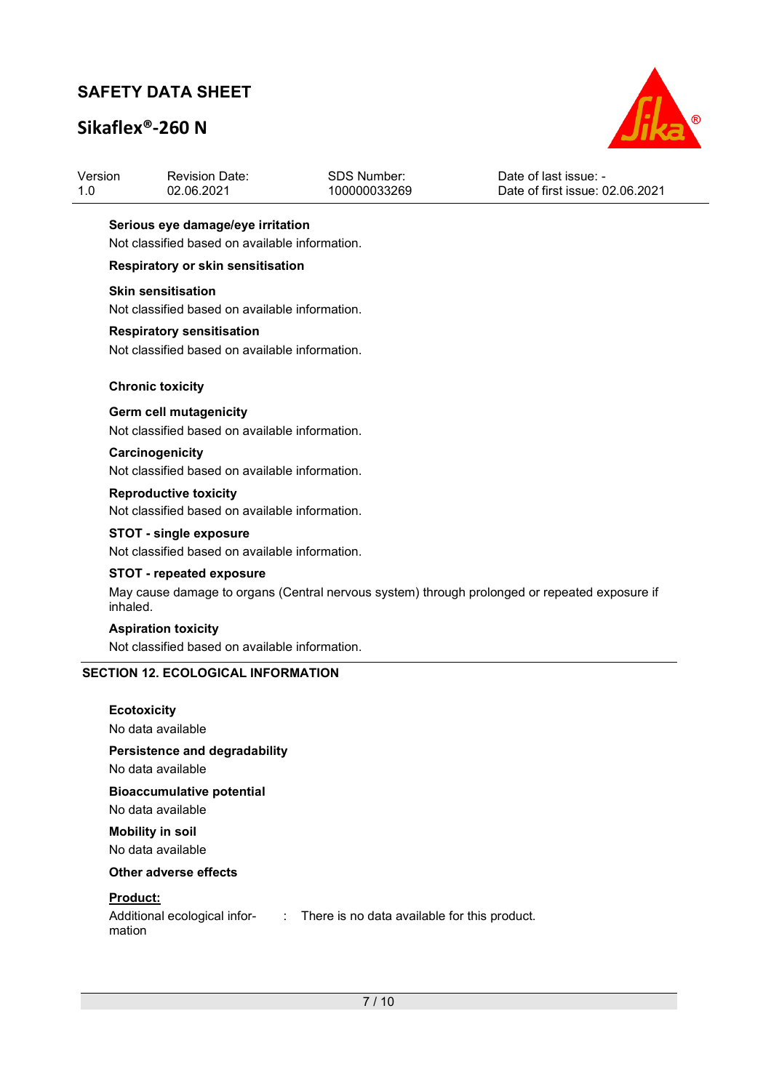# **Sikaflex®-260 N**



| Version | <b>Revision Date:</b> | SDS Number:  | Date of last issue: -           |
|---------|-----------------------|--------------|---------------------------------|
| 1.0     | 02.06.2021            | 100000033269 | Date of first issue: 02.06.2021 |
|         |                       |              |                                 |

#### **Serious eye damage/eye irritation**

Not classified based on available information.

#### **Respiratory or skin sensitisation**

#### **Skin sensitisation**

Not classified based on available information.

#### **Respiratory sensitisation**

Not classified based on available information.

#### **Chronic toxicity**

#### **Germ cell mutagenicity**

Not classified based on available information.

#### **Carcinogenicity**  Not classified based on available information.

**Reproductive toxicity**  Not classified based on available information.

#### **STOT - single exposure**

Not classified based on available information.

#### **STOT - repeated exposure**

May cause damage to organs (Central nervous system) through prolonged or repeated exposure if inhaled.

#### **Aspiration toxicity**

Not classified based on available information.

#### **SECTION 12. ECOLOGICAL INFORMATION**

#### **Ecotoxicity**

No data available

## **Persistence and degradability**

No data available

#### **Bioaccumulative potential**

No data available

#### **Mobility in soil**  No data available

#### **Other adverse effects**

#### **Product:**

| Additional ecological infor- | There is no data available for this product. |
|------------------------------|----------------------------------------------|
| mation                       |                                              |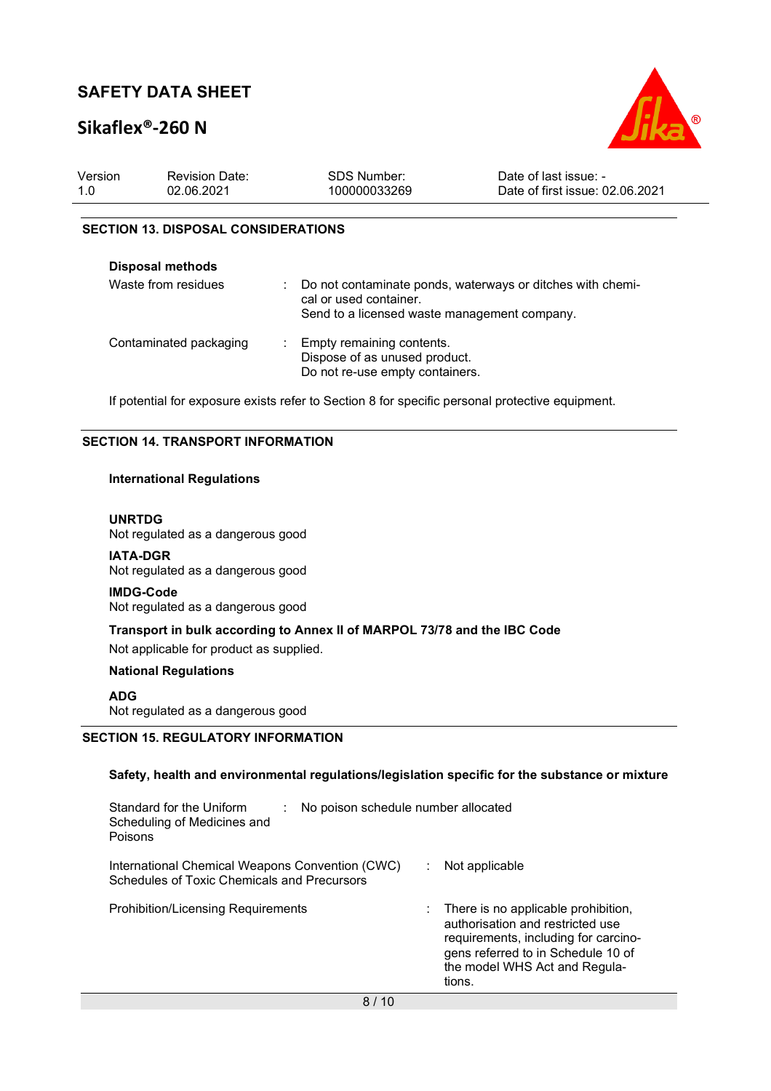## **Sikaflex®-260 N**



| Version | <b>Revision Date:</b> | SDS Number:  | Date of last issue: -           |
|---------|-----------------------|--------------|---------------------------------|
| 1.0     | 02.06.2021            | 100000033269 | Date of first issue: 02.06.2021 |
|         |                       |              |                                 |

#### **SECTION 13. DISPOSAL CONSIDERATIONS**

| <b>Disposal methods</b> |                                                                                                                                      |
|-------------------------|--------------------------------------------------------------------------------------------------------------------------------------|
| Waste from residues     | Do not contaminate ponds, waterways or ditches with chemi-<br>cal or used container.<br>Send to a licensed waste management company. |
| Contaminated packaging  | Empty remaining contents.<br>Dispose of as unused product.<br>Do not re-use empty containers.                                        |

If potential for exposure exists refer to Section 8 for specific personal protective equipment.

#### **SECTION 14. TRANSPORT INFORMATION**

#### **International Regulations**

#### **UNRTDG**

Not regulated as a dangerous good

**IATA-DGR** Not regulated as a dangerous good

#### **IMDG-Code**

Not regulated as a dangerous good

#### **Transport in bulk according to Annex II of MARPOL 73/78 and the IBC Code**

Not applicable for product as supplied.

#### **National Regulations**

**ADG**

Not regulated as a dangerous good

#### **SECTION 15. REGULATORY INFORMATION**

#### **Safety, health and environmental regulations/legislation specific for the substance or mixture**

| Standard for the Uniform<br>No poison schedule number allocated<br>Scheduling of Medicines and<br>Poisons |                                                                                                                                                                                                               |
|-----------------------------------------------------------------------------------------------------------|---------------------------------------------------------------------------------------------------------------------------------------------------------------------------------------------------------------|
| International Chemical Weapons Convention (CWC)<br>Schedules of Toxic Chemicals and Precursors            | Not applicable                                                                                                                                                                                                |
| <b>Prohibition/Licensing Requirements</b>                                                                 | $\therefore$ There is no applicable prohibition,<br>authorisation and restricted use<br>requirements, including for carcino-<br>gens referred to in Schedule 10 of<br>the model WHS Act and Regula-<br>tions. |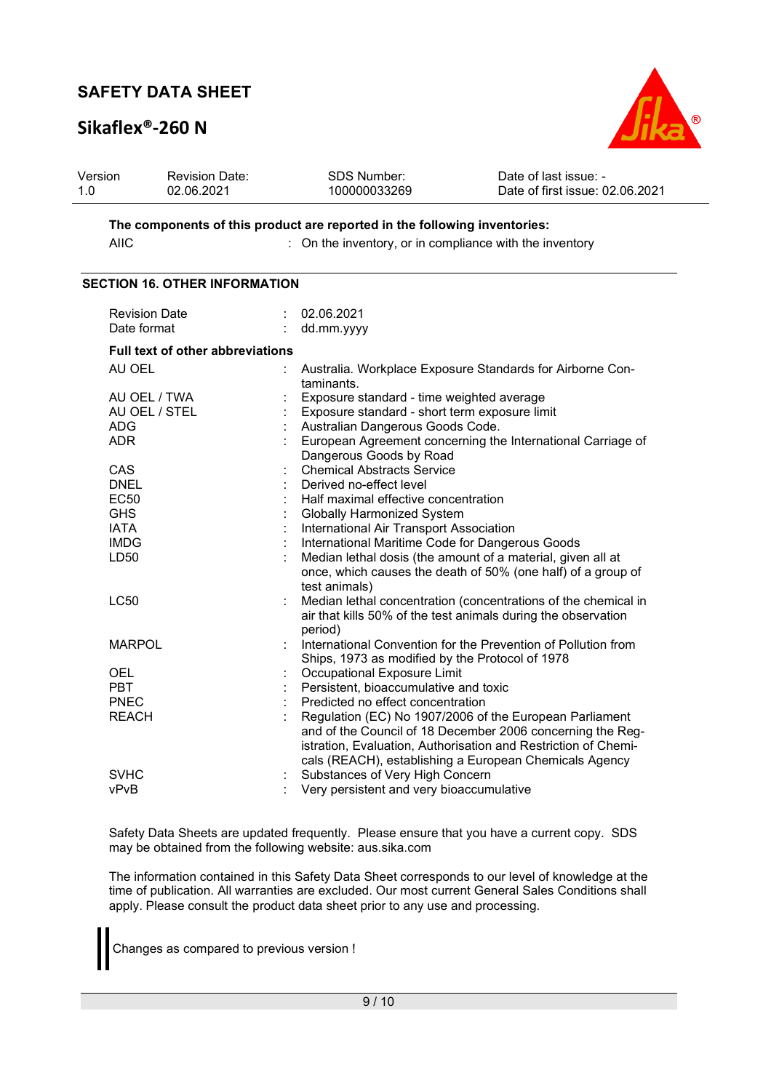# **Sikaflex®-260 N**



| Version | <b>Revision Date:</b> | SDS Number:  | Date of last issue: -           |
|---------|-----------------------|--------------|---------------------------------|
| 1.0     | 02.06.2021            | 100000033269 | Date of first issue: 02.06.2021 |

**The components of this product are reported in the following inventories:**  AIIC **integral integral integral in the inventory**, or in compliance with the inventory

#### **SECTION 16. OTHER INFORMATION**

| <b>Revision Date</b>                    | 02.06.2021                                                                                                                                                                                                                                        |
|-----------------------------------------|---------------------------------------------------------------------------------------------------------------------------------------------------------------------------------------------------------------------------------------------------|
| Date format                             | dd.mm.yyyy                                                                                                                                                                                                                                        |
| <b>Full text of other abbreviations</b> |                                                                                                                                                                                                                                                   |
| AU OEL                                  | Australia. Workplace Exposure Standards for Airborne Con-<br>taminants.                                                                                                                                                                           |
| AU OEL / TWA                            | Exposure standard - time weighted average                                                                                                                                                                                                         |
| AU OEL / STEL                           | Exposure standard - short term exposure limit                                                                                                                                                                                                     |
| <b>ADG</b>                              | Australian Dangerous Goods Code.                                                                                                                                                                                                                  |
| <b>ADR</b>                              | European Agreement concerning the International Carriage of<br>Dangerous Goods by Road                                                                                                                                                            |
| <b>CAS</b>                              | <b>Chemical Abstracts Service</b>                                                                                                                                                                                                                 |
| <b>DNEL</b>                             | Derived no-effect level                                                                                                                                                                                                                           |
| <b>EC50</b>                             | Half maximal effective concentration                                                                                                                                                                                                              |
| <b>GHS</b>                              | Globally Harmonized System                                                                                                                                                                                                                        |
| <b>IATA</b>                             | International Air Transport Association                                                                                                                                                                                                           |
| <b>IMDG</b>                             | International Maritime Code for Dangerous Goods                                                                                                                                                                                                   |
| LD <sub>50</sub>                        | Median lethal dosis (the amount of a material, given all at<br>once, which causes the death of 50% (one half) of a group of<br>test animals)                                                                                                      |
| <b>LC50</b>                             | Median lethal concentration (concentrations of the chemical in<br>air that kills 50% of the test animals during the observation<br>period)                                                                                                        |
| <b>MARPOL</b>                           | International Convention for the Prevention of Pollution from<br>Ships, 1973 as modified by the Protocol of 1978                                                                                                                                  |
| <b>OEL</b>                              | Occupational Exposure Limit                                                                                                                                                                                                                       |
| <b>PBT</b>                              | Persistent, bioaccumulative and toxic                                                                                                                                                                                                             |
| <b>PNEC</b>                             | Predicted no effect concentration                                                                                                                                                                                                                 |
| <b>REACH</b>                            | Regulation (EC) No 1907/2006 of the European Parliament<br>and of the Council of 18 December 2006 concerning the Reg-<br>istration, Evaluation, Authorisation and Restriction of Chemi-<br>cals (REACH), establishing a European Chemicals Agency |
| <b>SVHC</b>                             | Substances of Very High Concern                                                                                                                                                                                                                   |
| vPvB                                    | Very persistent and very bioaccumulative                                                                                                                                                                                                          |

Safety Data Sheets are updated frequently. Please ensure that you have a current copy. SDS may be obtained from the following website: aus.sika.com

The information contained in this Safety Data Sheet corresponds to our level of knowledge at the time of publication. All warranties are excluded. Our most current General Sales Conditions shall apply. Please consult the product data sheet prior to any use and processing.

Changes as compared to previous version !